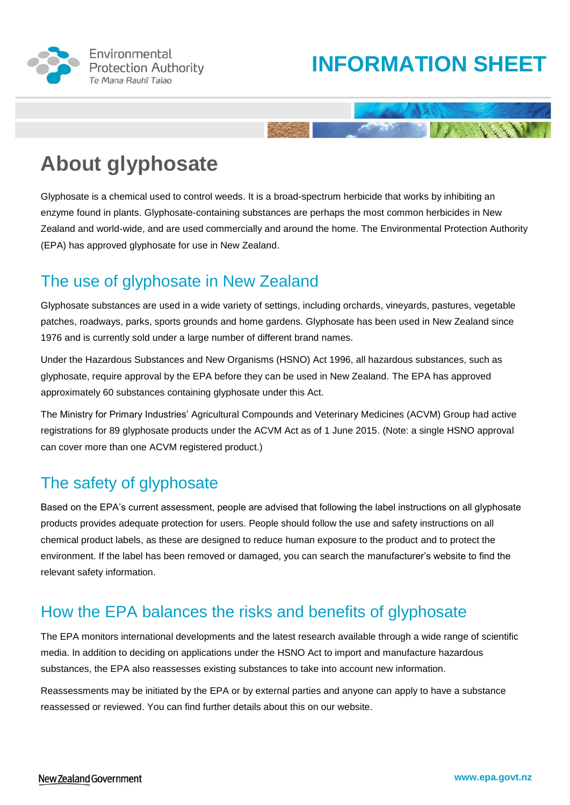

# **INFORMATION SHEET**

RESERVE TO

# **About glyphosate**

Glyphosate is a chemical used to control weeds. It is a broad-spectrum herbicide that works by inhibiting an enzyme found in plants. Glyphosate-containing substances are perhaps the most common herbicides in New Zealand and world-wide, and are used commercially and around the home. The Environmental Protection Authority (EPA) has approved glyphosate for use in New Zealand.

## The use of glyphosate in New Zealand

Glyphosate substances are used in a wide variety of settings, including orchards, vineyards, pastures, vegetable patches, roadways, parks, sports grounds and home gardens. Glyphosate has been used in New Zealand since 1976 and is currently sold under a large number of different brand names.

Under the Hazardous Substances and New Organisms (HSNO) Act 1996, all hazardous substances, such as glyphosate, require approval by the EPA before they can be used in New Zealand. The EPA has approved approximately 60 substances containing glyphosate under this Act.

The Ministry for Primary Industries' Agricultural Compounds and Veterinary Medicines (ACVM) Group had active registrations for 89 glyphosate products under the ACVM Act as of 1 June 2015. (Note: a single HSNO approval can cover more than one ACVM registered product.)

## The safety of glyphosate

Based on the EPA's current assessment, people are advised that following the label instructions on all glyphosate products provides adequate protection for users. People should follow the use and safety instructions on all chemical product labels, as these are designed to reduce human exposure to the product and to protect the environment. If the label has been removed or damaged, you can search the manufacturer's website to find the relevant safety information.

## How the EPA balances the risks and benefits of glyphosate

The EPA monitors international developments and the latest research available through a wide range of scientific media. In addition to deciding on applications under the HSNO Act to import and manufacture hazardous substances, the EPA also reassesses existing substances to take into account new information.

Reassessments may be initiated by the EPA or by external parties and anyone can apply to have a substance reassessed or reviewed. You can find further details about this on our website.